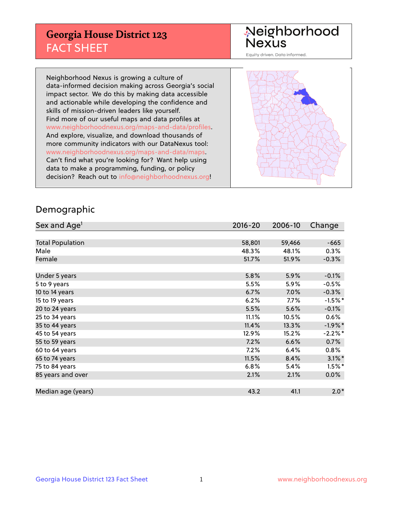## **Georgia House District 123** FACT SHEET

# Neighborhood<br>Nexus

Equity driven. Data informed.

Neighborhood Nexus is growing a culture of data-informed decision making across Georgia's social impact sector. We do this by making data accessible and actionable while developing the confidence and skills of mission-driven leaders like yourself. Find more of our useful maps and data profiles at www.neighborhoodnexus.org/maps-and-data/profiles. And explore, visualize, and download thousands of more community indicators with our DataNexus tool: www.neighborhoodnexus.org/maps-and-data/maps. Can't find what you're looking for? Want help using data to make a programming, funding, or policy decision? Reach out to [info@neighborhoodnexus.org!](mailto:info@neighborhoodnexus.org)



### Demographic

| Sex and Age <sup>1</sup> | 2016-20 | 2006-10 | Change    |
|--------------------------|---------|---------|-----------|
|                          |         |         |           |
| <b>Total Population</b>  | 58,801  | 59,466  | $-665$    |
| Male                     | 48.3%   | 48.1%   | 0.3%      |
| Female                   | 51.7%   | 51.9%   | $-0.3%$   |
|                          |         |         |           |
| Under 5 years            | 5.8%    | 5.9%    | $-0.1%$   |
| 5 to 9 years             | 5.5%    | 5.9%    | $-0.5%$   |
| 10 to 14 years           | 6.7%    | 7.0%    | $-0.3%$   |
| 15 to 19 years           | 6.2%    | 7.7%    | $-1.5%$ * |
| 20 to 24 years           | 5.5%    | 5.6%    | $-0.1%$   |
| 25 to 34 years           | 11.1%   | 10.5%   | 0.6%      |
| 35 to 44 years           | 11.4%   | 13.3%   | $-1.9%$ * |
| 45 to 54 years           | 12.9%   | 15.2%   | $-2.2%$ * |
| 55 to 59 years           | 7.2%    | 6.6%    | 0.7%      |
| 60 to 64 years           | 7.2%    | 6.4%    | $0.8\%$   |
| 65 to 74 years           | 11.5%   | 8.4%    | $3.1\%$ * |
| 75 to 84 years           | 6.8%    | 5.4%    | $1.5%$ *  |
| 85 years and over        | 2.1%    | 2.1%    | $0.0\%$   |
|                          |         |         |           |
| Median age (years)       | 43.2    | 41.1    | $2.0*$    |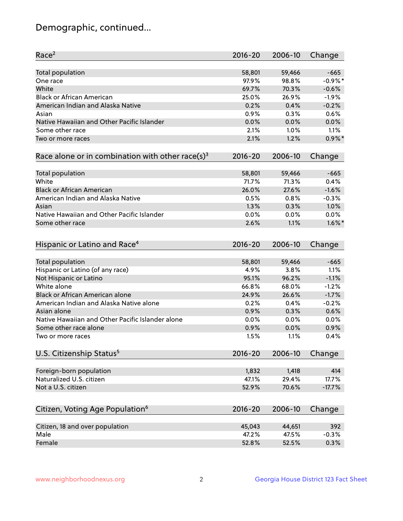## Demographic, continued...

| Race <sup>2</sup>                                            | 2016-20     | 2006-10 | Change    |
|--------------------------------------------------------------|-------------|---------|-----------|
| <b>Total population</b>                                      | 58,801      | 59,466  | $-665$    |
| One race                                                     | 97.9%       | 98.8%   | $-0.9%$ * |
| White                                                        | 69.7%       | 70.3%   | $-0.6%$   |
| <b>Black or African American</b>                             | 25.0%       | 26.9%   | $-1.9%$   |
| American Indian and Alaska Native                            | 0.2%        | 0.4%    | $-0.2%$   |
| Asian                                                        | 0.9%        | 0.3%    | 0.6%      |
| Native Hawaiian and Other Pacific Islander                   | 0.0%        | 0.0%    | 0.0%      |
| Some other race                                              | 2.1%        | 1.0%    | 1.1%      |
| Two or more races                                            | 2.1%        | 1.2%    | $0.9\%$ * |
| Race alone or in combination with other race(s) <sup>3</sup> | $2016 - 20$ | 2006-10 | Change    |
|                                                              |             |         |           |
| <b>Total population</b>                                      | 58,801      | 59,466  | $-665$    |
| White                                                        | 71.7%       | 71.3%   | 0.4%      |
| <b>Black or African American</b>                             | 26.0%       | 27.6%   | $-1.6%$   |
| American Indian and Alaska Native                            | 0.5%        | 0.8%    | $-0.3%$   |
| Asian                                                        | 1.3%        | 0.3%    | 1.0%      |
| Native Hawaiian and Other Pacific Islander                   | 0.0%        | 0.0%    | 0.0%      |
| Some other race                                              | 2.6%        | 1.1%    | $1.6\%$ * |
|                                                              |             |         |           |
| Hispanic or Latino and Race <sup>4</sup>                     | $2016 - 20$ | 2006-10 | Change    |
|                                                              |             |         |           |
| <b>Total population</b>                                      | 58,801      | 59,466  | $-665$    |
| Hispanic or Latino (of any race)                             | 4.9%        | 3.8%    | 1.1%      |
| Not Hispanic or Latino                                       | 95.1%       | 96.2%   | $-1.1%$   |
| White alone                                                  | 66.8%       | 68.0%   | $-1.2%$   |
| <b>Black or African American alone</b>                       | 24.9%       | 26.6%   | $-1.7%$   |
| American Indian and Alaska Native alone                      | 0.2%        | 0.4%    | $-0.2%$   |
| Asian alone                                                  | 0.9%        | 0.3%    | 0.6%      |
| Native Hawaiian and Other Pacific Islander alone             | 0.0%        | 0.0%    | 0.0%      |
| Some other race alone                                        | 0.9%        | 0.0%    | 0.9%      |
| Two or more races                                            | 1.5%        | 1.1%    | 0.4%      |
| U.S. Citizenship Status <sup>5</sup>                         | $2016 - 20$ | 2006-10 | Change    |
|                                                              |             |         |           |
| Foreign-born population                                      | 1,832       | 1,418   | 414       |
| Naturalized U.S. citizen                                     | 47.1%       | 29.4%   | 17.7%     |
| Not a U.S. citizen                                           | 52.9%       | 70.6%   | $-17.7%$  |
| Citizen, Voting Age Population <sup>6</sup>                  | $2016 - 20$ | 2006-10 | Change    |
|                                                              |             |         |           |
| Citizen, 18 and over population                              | 45,043      | 44,651  | 392       |
| Male                                                         | 47.2%       | 47.5%   | $-0.3%$   |
| Female                                                       | 52.8%       | 52.5%   | 0.3%      |
|                                                              |             |         |           |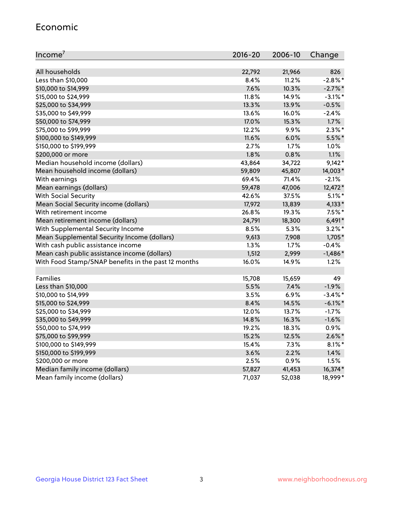#### Economic

| Income <sup>7</sup>                                 | $2016 - 20$ | 2006-10 | Change     |
|-----------------------------------------------------|-------------|---------|------------|
|                                                     |             |         |            |
| All households                                      | 22,792      | 21,966  | 826        |
| Less than \$10,000                                  | 8.4%        | 11.2%   | $-2.8\%$ * |
| \$10,000 to \$14,999                                | 7.6%        | 10.3%   | $-2.7\%$ * |
| \$15,000 to \$24,999                                | 11.8%       | 14.9%   | $-3.1\%$ * |
| \$25,000 to \$34,999                                | 13.3%       | 13.9%   | $-0.5%$    |
| \$35,000 to \$49,999                                | 13.6%       | 16.0%   | $-2.4%$    |
| \$50,000 to \$74,999                                | 17.0%       | 15.3%   | 1.7%       |
| \$75,000 to \$99,999                                | 12.2%       | 9.9%    | $2.3\%$ *  |
| \$100,000 to \$149,999                              | 11.6%       | 6.0%    | 5.5%*      |
| \$150,000 to \$199,999                              | 2.7%        | 1.7%    | 1.0%       |
| \$200,000 or more                                   | 1.8%        | 0.8%    | 1.1%       |
| Median household income (dollars)                   | 43,864      | 34,722  | $9,142*$   |
| Mean household income (dollars)                     | 59,809      | 45,807  | 14,003*    |
| With earnings                                       | 69.4%       | 71.4%   | $-2.1%$    |
| Mean earnings (dollars)                             | 59,478      | 47,006  | 12,472*    |
| <b>With Social Security</b>                         | 42.6%       | 37.5%   | $5.1\%$ *  |
| Mean Social Security income (dollars)               | 17,972      | 13,839  | 4,133*     |
| With retirement income                              | 26.8%       | 19.3%   | $7.5%$ *   |
| Mean retirement income (dollars)                    | 24,791      | 18,300  | $6,491*$   |
| With Supplemental Security Income                   | $8.5\%$     | 5.3%    | $3.2\%$ *  |
| Mean Supplemental Security Income (dollars)         | 9,613       | 7,908   | 1,705*     |
| With cash public assistance income                  | 1.3%        | 1.7%    | $-0.4%$    |
| Mean cash public assistance income (dollars)        | 1,512       | 2,999   | $-1,486*$  |
| With Food Stamp/SNAP benefits in the past 12 months | 16.0%       | 14.9%   | 1.2%       |
|                                                     |             |         |            |
| Families                                            | 15,708      | 15,659  | 49         |
| Less than \$10,000                                  | 5.5%        | 7.4%    | $-1.9%$    |
| \$10,000 to \$14,999                                | 3.5%        | 6.9%    | $-3.4\%$ * |
| \$15,000 to \$24,999                                | 8.4%        | 14.5%   | $-6.1\%$ * |
| \$25,000 to \$34,999                                | 12.0%       | 13.7%   | $-1.7%$    |
| \$35,000 to \$49,999                                | 14.8%       | 16.3%   | $-1.6%$    |
| \$50,000 to \$74,999                                | 19.2%       | 18.3%   | 0.9%       |
| \$75,000 to \$99,999                                | 15.2%       | 12.5%   | $2.6\%$ *  |
| \$100,000 to \$149,999                              | 15.4%       | 7.3%    | $8.1\%$ *  |
| \$150,000 to \$199,999                              | 3.6%        | 2.2%    | 1.4%       |
| \$200,000 or more                                   | 2.5%        | 0.9%    | 1.5%       |
| Median family income (dollars)                      | 57,827      | 41,453  | 16,374*    |
| Mean family income (dollars)                        | 71,037      | 52,038  | 18,999*    |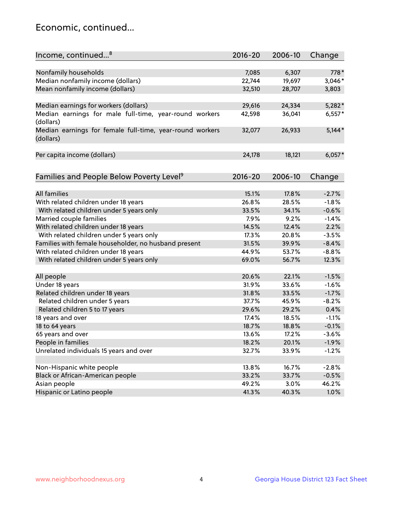## Economic, continued...

| Income, continued <sup>8</sup>                                        | $2016 - 20$ | 2006-10 | Change             |
|-----------------------------------------------------------------------|-------------|---------|--------------------|
|                                                                       |             |         |                    |
| Nonfamily households                                                  | 7,085       | 6,307   | 778*               |
| Median nonfamily income (dollars)                                     | 22,744      | 19,697  | 3,046*             |
| Mean nonfamily income (dollars)                                       | 32,510      | 28,707  | 3,803              |
| Median earnings for workers (dollars)                                 | 29,616      | 24,334  | $5,282*$           |
| Median earnings for male full-time, year-round workers                | 42,598      | 36,041  | $6,557*$           |
| (dollars)                                                             |             |         |                    |
| Median earnings for female full-time, year-round workers<br>(dollars) | 32,077      | 26,933  | $5,144*$           |
| Per capita income (dollars)                                           | 24,178      | 18,121  | $6,057*$           |
|                                                                       |             |         |                    |
| Families and People Below Poverty Level <sup>9</sup>                  | 2016-20     | 2006-10 | Change             |
| <b>All families</b>                                                   | 15.1%       | 17.8%   | $-2.7%$            |
| With related children under 18 years                                  | 26.8%       | 28.5%   | $-1.8%$            |
|                                                                       | 33.5%       | 34.1%   | $-0.6%$            |
| With related children under 5 years only                              | 7.9%        | 9.2%    |                    |
| Married couple families                                               |             | 12.4%   | $-1.4%$<br>2.2%    |
| With related children under 18 years                                  | 14.5%       |         |                    |
| With related children under 5 years only                              | 17.3%       | 20.8%   | $-3.5%$<br>$-8.4%$ |
| Families with female householder, no husband present                  | 31.5%       | 39.9%   |                    |
| With related children under 18 years                                  | 44.9%       | 53.7%   | $-8.8%$            |
| With related children under 5 years only                              | 69.0%       | 56.7%   | 12.3%              |
| All people                                                            | 20.6%       | 22.1%   | $-1.5%$            |
| Under 18 years                                                        | 31.9%       | 33.6%   | $-1.6%$            |
| Related children under 18 years                                       | 31.8%       | 33.5%   | $-1.7%$            |
| Related children under 5 years                                        | 37.7%       | 45.9%   | $-8.2%$            |
| Related children 5 to 17 years                                        | 29.6%       | 29.2%   | 0.4%               |
| 18 years and over                                                     | 17.4%       | 18.5%   | $-1.1%$            |
| 18 to 64 years                                                        | 18.7%       | 18.8%   | $-0.1%$            |
| 65 years and over                                                     | 13.6%       | 17.2%   | $-3.6%$            |
| People in families                                                    | 18.2%       | 20.1%   | $-1.9%$            |
| Unrelated individuals 15 years and over                               | 32.7%       | 33.9%   | $-1.2%$            |
|                                                                       |             |         |                    |
| Non-Hispanic white people                                             | 13.8%       | 16.7%   | $-2.8%$            |
| Black or African-American people                                      | 33.2%       | 33.7%   | $-0.5%$            |
| Asian people                                                          | 49.2%       | 3.0%    | 46.2%              |
| Hispanic or Latino people                                             | 41.3%       | 40.3%   | 1.0%               |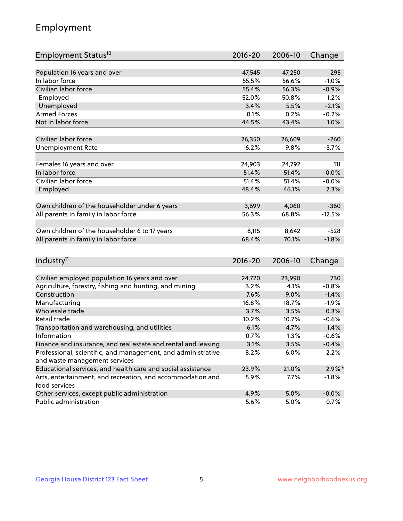## Employment

| Employment Status <sup>10</sup>                                             | $2016 - 20$     | 2006-10         | Change         |
|-----------------------------------------------------------------------------|-----------------|-----------------|----------------|
|                                                                             |                 |                 |                |
| Population 16 years and over                                                | 47,545          | 47,250          | 295            |
| In labor force                                                              | 55.5%           | 56.6%           | $-1.0%$        |
| Civilian labor force                                                        | 55.4%           | 56.3%           | $-0.9%$        |
| Employed                                                                    | 52.0%           | 50.8%           | 1.2%           |
| Unemployed                                                                  | 3.4%            | 5.5%            | $-2.1%$        |
| <b>Armed Forces</b>                                                         | 0.1%            | 0.2%            | $-0.2%$        |
| Not in labor force                                                          | 44.5%           | 43.4%           | 1.0%           |
|                                                                             |                 |                 |                |
| Civilian labor force                                                        | 26,350          | 26,609          | $-260$         |
| <b>Unemployment Rate</b>                                                    | 6.2%            | 9.8%            | $-3.7%$        |
|                                                                             |                 |                 |                |
| Females 16 years and over<br>In labor force                                 | 24,903<br>51.4% | 24,792<br>51.4% | 111<br>$-0.0%$ |
|                                                                             |                 |                 |                |
| Civilian labor force                                                        | 51.4%           | 51.4%           | $-0.0%$        |
| Employed                                                                    | 48.4%           | 46.1%           | 2.3%           |
| Own children of the householder under 6 years                               | 3,699           | 4,060           | $-360$         |
| All parents in family in labor force                                        | 56.3%           | 68.8%           | $-12.5%$       |
|                                                                             |                 |                 |                |
| Own children of the householder 6 to 17 years                               | 8,115           | 8,642           | $-528$         |
| All parents in family in labor force                                        | 68.4%           | 70.1%           | $-1.8%$        |
|                                                                             |                 |                 |                |
| Industry <sup>11</sup>                                                      | $2016 - 20$     | 2006-10         | Change         |
|                                                                             |                 |                 |                |
| Civilian employed population 16 years and over                              | 24,720          | 23,990          | 730            |
| Agriculture, forestry, fishing and hunting, and mining                      | 3.2%            | 4.1%            | $-0.8%$        |
| Construction                                                                | 7.6%            | 9.0%            | $-1.4%$        |
| Manufacturing                                                               | 16.8%           | 18.7%           | $-1.9%$        |
| Wholesale trade                                                             | 3.7%            | 3.5%            | 0.3%           |
| Retail trade                                                                | 10.2%           | 10.7%           | $-0.6%$        |
| Transportation and warehousing, and utilities                               | 6.1%            | 4.7%            | 1.4%           |
| Information                                                                 | 0.7%            | 1.3%            | $-0.6%$        |
| Finance and insurance, and real estate and rental and leasing               | 3.1%            | 3.5%            | $-0.4%$        |
| Professional, scientific, and management, and administrative                | 8.2%            | 6.0%            | 2.2%           |
| and waste management services                                               |                 |                 |                |
| Educational services, and health care and social assistance                 | 23.9%           | 21.0%           | $2.9\%$ *      |
| Arts, entertainment, and recreation, and accommodation and<br>food services | 5.9%            | 7.7%            | $-1.8\%$       |
| Other services, except public administration                                | 4.9%            | 5.0%            | $-0.0%$        |
| Public administration                                                       | 5.6%            | 5.0%            | $0.7\%$        |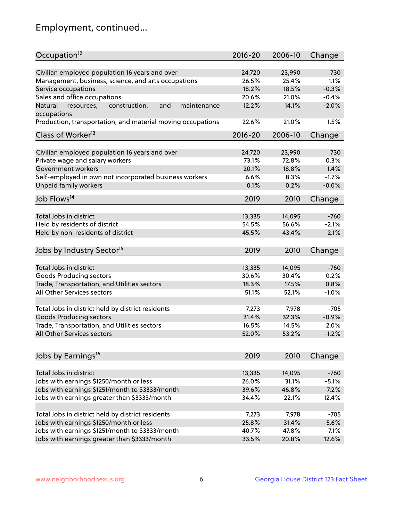## Employment, continued...

| Occupation <sup>12</sup>                                                    | $2016 - 20$    | 2006-10        | Change          |
|-----------------------------------------------------------------------------|----------------|----------------|-----------------|
| Civilian employed population 16 years and over                              |                |                |                 |
|                                                                             | 24,720         | 23,990         | 730             |
| Management, business, science, and arts occupations<br>Service occupations  | 26.5%<br>18.2% | 25.4%<br>18.5% | 1.1%<br>$-0.3%$ |
|                                                                             |                |                |                 |
| Sales and office occupations                                                | 20.6%          | 21.0%          | $-0.4%$         |
| Natural<br>and<br>resources,<br>construction,<br>maintenance<br>occupations | 12.2%          | 14.1%          | $-2.0%$         |
| Production, transportation, and material moving occupations                 | 22.6%          | 21.0%          | 1.5%            |
| Class of Worker <sup>13</sup>                                               | $2016 - 20$    | 2006-10        | Change          |
|                                                                             |                |                |                 |
| Civilian employed population 16 years and over                              | 24,720         | 23,990         | 730             |
| Private wage and salary workers                                             | 73.1%          | 72.8%          | 0.3%            |
| Government workers                                                          | 20.1%          | 18.8%          | 1.4%            |
| Self-employed in own not incorporated business workers                      | 6.6%           | 8.3%           | $-1.7%$         |
| Unpaid family workers                                                       | 0.1%           | 0.2%           | $-0.0%$         |
| Job Flows <sup>14</sup>                                                     | 2019           | 2010           | Change          |
|                                                                             |                |                |                 |
| Total Jobs in district                                                      | 13,335         | 14,095         | $-760$          |
| Held by residents of district                                               | 54.5%          | 56.6%          | $-2.1%$         |
| Held by non-residents of district                                           | 45.5%          | 43.4%          | 2.1%            |
|                                                                             |                |                |                 |
| Jobs by Industry Sector <sup>15</sup>                                       | 2019           | 2010           | Change          |
| Total Jobs in district                                                      | 13,335         | 14,095         | $-760$          |
| Goods Producing sectors                                                     | 30.6%          | 30.4%          | 0.2%            |
| Trade, Transportation, and Utilities sectors                                | 18.3%          | 17.5%          | 0.8%            |
| All Other Services sectors                                                  | 51.1%          | 52.1%          | $-1.0%$         |
|                                                                             |                |                |                 |
| Total Jobs in district held by district residents                           | 7,273          | 7,978          | $-705$          |
| <b>Goods Producing sectors</b>                                              | 31.4%          | 32.3%          | $-0.9%$         |
| Trade, Transportation, and Utilities sectors                                | 16.5%          | 14.5%          | 2.0%            |
| All Other Services sectors                                                  | 52.0%          | 53.2%          | $-1.2%$         |
|                                                                             |                |                |                 |
| Jobs by Earnings <sup>16</sup>                                              | 2019           | 2010           | Change          |
|                                                                             |                |                |                 |
| Total Jobs in district                                                      | 13,335         | 14,095         | $-760$          |
| Jobs with earnings \$1250/month or less                                     | 26.0%          | 31.1%          | $-5.1%$         |
| Jobs with earnings \$1251/month to \$3333/month                             | 39.6%          | 46.8%          | $-7.2%$         |
| Jobs with earnings greater than \$3333/month                                | 34.4%          | 22.1%          | 12.4%           |
|                                                                             |                |                |                 |
| Total Jobs in district held by district residents                           | 7,273          | 7,978          | $-705$          |
| Jobs with earnings \$1250/month or less                                     | 25.8%          | 31.4%          | $-5.6%$         |
| Jobs with earnings \$1251/month to \$3333/month                             | 40.7%          | 47.8%          | $-7.1%$         |
| Jobs with earnings greater than \$3333/month                                | 33.5%          | 20.8%          | 12.6%           |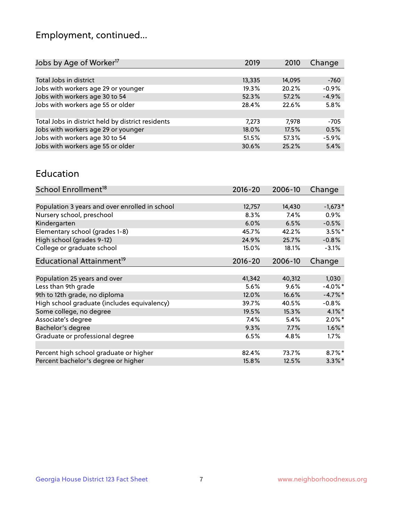## Employment, continued...

| Jobs by Age of Worker <sup>17</sup>               | 2019   | 2010   | Change  |
|---------------------------------------------------|--------|--------|---------|
|                                                   |        |        |         |
| Total Jobs in district                            | 13,335 | 14,095 | $-760$  |
| Jobs with workers age 29 or younger               | 19.3%  | 20.2%  | $-0.9%$ |
| Jobs with workers age 30 to 54                    | 52.3%  | 57.2%  | $-4.9%$ |
| Jobs with workers age 55 or older                 | 28.4%  | 22.6%  | 5.8%    |
|                                                   |        |        |         |
| Total Jobs in district held by district residents | 7,273  | 7,978  | $-705$  |
| Jobs with workers age 29 or younger               | 18.0%  | 17.5%  | 0.5%    |
| Jobs with workers age 30 to 54                    | 51.5%  | 57.3%  | $-5.9%$ |
| Jobs with workers age 55 or older                 | 30.6%  | 25.2%  | 5.4%    |

#### Education

| School Enrollment <sup>18</sup>                | $2016 - 20$ | 2006-10 | Change     |
|------------------------------------------------|-------------|---------|------------|
|                                                |             |         |            |
| Population 3 years and over enrolled in school | 12,757      | 14,430  | $-1,673*$  |
| Nursery school, preschool                      | 8.3%        | 7.4%    | $0.9\%$    |
| Kindergarten                                   | 6.0%        | 6.5%    | $-0.5%$    |
| Elementary school (grades 1-8)                 | 45.7%       | 42.2%   | $3.5\%$ *  |
| High school (grades 9-12)                      | 24.9%       | 25.7%   | $-0.8%$    |
| College or graduate school                     | 15.0%       | 18.1%   | $-3.1%$    |
| Educational Attainment <sup>19</sup>           | $2016 - 20$ | 2006-10 | Change     |
|                                                |             |         |            |
| Population 25 years and over                   | 41,342      | 40,312  | 1,030      |
| Less than 9th grade                            | 5.6%        | 9.6%    | $-4.0\%$ * |
| 9th to 12th grade, no diploma                  | 12.0%       | 16.6%   | $-4.7%$ *  |
| High school graduate (includes equivalency)    | 39.7%       | 40.5%   | $-0.8%$    |
| Some college, no degree                        | 19.5%       | 15.3%   | $4.1\%$ *  |
| Associate's degree                             | 7.4%        | 5.4%    | $2.0\%$ *  |
| Bachelor's degree                              | 9.3%        | 7.7%    | $1.6\%$ *  |
| Graduate or professional degree                | 6.5%        | 4.8%    | $1.7\%$    |
|                                                |             |         |            |
| Percent high school graduate or higher         | 82.4%       | 73.7%   | $8.7\%$ *  |
| Percent bachelor's degree or higher            | 15.8%       | 12.5%   | $3.3\%$ *  |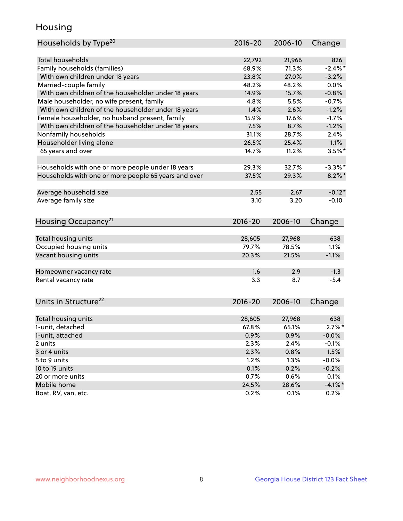## Housing

| Households by Type <sup>20</sup>                     | 2016-20     | 2006-10 | Change     |
|------------------------------------------------------|-------------|---------|------------|
|                                                      |             |         |            |
| <b>Total households</b>                              | 22,792      | 21,966  | 826        |
| Family households (families)                         | 68.9%       | 71.3%   | $-2.4\%$ * |
| With own children under 18 years                     | 23.8%       | 27.0%   | $-3.2%$    |
| Married-couple family                                | 48.2%       | 48.2%   | 0.0%       |
| With own children of the householder under 18 years  | 14.9%       | 15.7%   | $-0.8%$    |
| Male householder, no wife present, family            | 4.8%        | 5.5%    | $-0.7%$    |
| With own children of the householder under 18 years  | 1.4%        | 2.6%    | $-1.2%$    |
| Female householder, no husband present, family       | 15.9%       | 17.6%   | $-1.7%$    |
| With own children of the householder under 18 years  | 7.5%        | 8.7%    | $-1.2%$    |
| Nonfamily households                                 | 31.1%       | 28.7%   | 2.4%       |
| Householder living alone                             | 26.5%       | 25.4%   | 1.1%       |
| 65 years and over                                    | 14.7%       | 11.2%   | $3.5%$ *   |
|                                                      |             |         |            |
| Households with one or more people under 18 years    | 29.3%       | 32.7%   | $-3.3%$ *  |
| Households with one or more people 65 years and over | 37.5%       | 29.3%   | $8.2\%$ *  |
|                                                      |             |         |            |
| Average household size                               | 2.55        | 2.67    | $-0.12*$   |
| Average family size                                  | 3.10        | 3.20    | $-0.10$    |
|                                                      |             |         |            |
| Housing Occupancy <sup>21</sup>                      | 2016-20     | 2006-10 | Change     |
|                                                      |             |         |            |
| Total housing units                                  | 28,605      | 27,968  | 638        |
| Occupied housing units                               | 79.7%       | 78.5%   | 1.1%       |
| Vacant housing units                                 | 20.3%       | 21.5%   | $-1.1%$    |
| Homeowner vacancy rate                               | 1.6         | 2.9     | $-1.3$     |
| Rental vacancy rate                                  | 3.3         | 8.7     | $-5.4$     |
|                                                      |             |         |            |
| Units in Structure <sup>22</sup>                     | $2016 - 20$ | 2006-10 | Change     |
|                                                      |             |         |            |
| Total housing units                                  | 28,605      | 27,968  | 638        |
| 1-unit, detached                                     | 67.8%       | 65.1%   | $2.7\%$ *  |
| 1-unit, attached                                     | 0.9%        | 0.9%    | $-0.0%$    |
| 2 units                                              | 2.3%        | 2.4%    | $-0.1%$    |
| 3 or 4 units                                         | 2.3%        | 0.8%    | 1.5%       |
| 5 to 9 units                                         | 1.2%        | 1.3%    | $-0.0%$    |
| 10 to 19 units                                       | 0.1%        | 0.2%    | $-0.2%$    |
| 20 or more units                                     | 0.7%        | 0.6%    | 0.1%       |
| Mobile home                                          | 24.5%       | 28.6%   | $-4.1\%$ * |
| Boat, RV, van, etc.                                  | 0.2%        | 0.1%    | 0.2%       |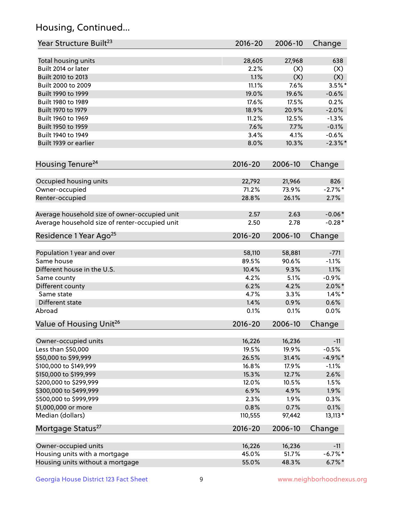## Housing, Continued...

| Year Structure Built <sup>23</sup>             | 2016-20     | 2006-10        | Change     |
|------------------------------------------------|-------------|----------------|------------|
| Total housing units                            | 28,605      | 27,968         | 638        |
| Built 2014 or later                            | 2.2%        | (X)            | (X)        |
| Built 2010 to 2013                             | 1.1%        | (X)            | (X)        |
| Built 2000 to 2009                             | 11.1%       | 7.6%           | $3.5\%$ *  |
|                                                | 19.0%       | 19.6%          |            |
| Built 1990 to 1999                             | 17.6%       |                | $-0.6%$    |
| Built 1980 to 1989                             |             | 17.5%<br>20.9% | 0.2%       |
| Built 1970 to 1979                             | 18.9%       |                | $-2.0%$    |
| Built 1960 to 1969                             | 11.2%       | 12.5%          | $-1.3%$    |
| Built 1950 to 1959                             | 7.6%        | 7.7%           | $-0.1%$    |
| Built 1940 to 1949                             | 3.4%        | 4.1%           | $-0.6%$    |
| Built 1939 or earlier                          | 8.0%        | 10.3%          | $-2.3\%$ * |
| Housing Tenure <sup>24</sup>                   | $2016 - 20$ | 2006-10        | Change     |
| Occupied housing units                         | 22,792      | 21,966         | 826        |
| Owner-occupied                                 | 71.2%       | 73.9%          | $-2.7%$ *  |
| Renter-occupied                                | 28.8%       | 26.1%          | 2.7%       |
| Average household size of owner-occupied unit  | 2.57        | 2.63           | $-0.06*$   |
| Average household size of renter-occupied unit | 2.50        | 2.78           | $-0.28*$   |
| Residence 1 Year Ago <sup>25</sup>             | $2016 - 20$ | 2006-10        | Change     |
| Population 1 year and over                     | 58,110      | 58,881         | $-771$     |
| Same house                                     | 89.5%       | 90.6%          | $-1.1%$    |
| Different house in the U.S.                    | 10.4%       | 9.3%           | 1.1%       |
|                                                | 4.2%        | 5.1%           | $-0.9%$    |
| Same county                                    | 6.2%        | 4.2%           | $2.0\%$ *  |
| Different county<br>Same state                 | 4.7%        | 3.3%           | $1.4\%$ *  |
|                                                |             |                |            |
| Different state                                | 1.4%        | 0.9%           | 0.6%       |
| Abroad                                         | 0.1%        | 0.1%           | 0.0%       |
| Value of Housing Unit <sup>26</sup>            | $2016 - 20$ | 2006-10        | Change     |
| Owner-occupied units                           | 16,226      | 16,236         | $-11$      |
| Less than \$50,000                             | 19.5%       | 19.9%          | $-0.5%$    |
| \$50,000 to \$99,999                           | 26.5%       | 31.4%          | $-4.9%$ *  |
| \$100,000 to \$149,999                         | 16.8%       | 17.9%          | $-1.1%$    |
| \$150,000 to \$199,999                         | 15.3%       | 12.7%          | 2.6%       |
| \$200,000 to \$299,999                         | 12.0%       | 10.5%          | 1.5%       |
| \$300,000 to \$499,999                         | 6.9%        | 4.9%           | 1.9%       |
| \$500,000 to \$999,999                         | 2.3%        | 1.9%           | 0.3%       |
| \$1,000,000 or more                            | 0.8%        | 0.7%           | 0.1%       |
| Median (dollars)                               | 110,555     | 97,442         | $13,113*$  |
| Mortgage Status <sup>27</sup>                  | $2016 - 20$ | 2006-10        | Change     |
| Owner-occupied units                           | 16,226      | 16,236         | $-11$      |
| Housing units with a mortgage                  | 45.0%       | 51.7%          | $-6.7%$ *  |
| Housing units without a mortgage               | 55.0%       | 48.3%          | $6.7\%$ *  |
|                                                |             |                |            |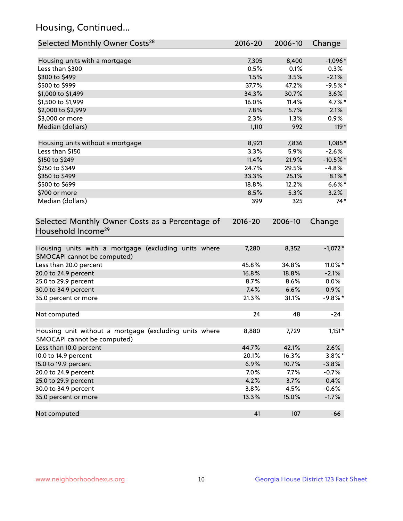## Housing, Continued...

| Selected Monthly Owner Costs <sup>28</sup>                                            | $2016 - 20$ | 2006-10 | Change      |
|---------------------------------------------------------------------------------------|-------------|---------|-------------|
| Housing units with a mortgage                                                         | 7,305       | 8,400   | $-1,096*$   |
| Less than \$300                                                                       | 0.5%        | 0.1%    | 0.3%        |
| \$300 to \$499                                                                        | 1.5%        | 3.5%    | $-2.1%$     |
| \$500 to \$999                                                                        | 37.7%       | 47.2%   | $-9.5%$ *   |
| \$1,000 to \$1,499                                                                    | 34.3%       | 30.7%   | 3.6%        |
| \$1,500 to \$1,999                                                                    | 16.0%       | 11.4%   | 4.7%*       |
| \$2,000 to \$2,999                                                                    | 7.8%        | 5.7%    | 2.1%        |
| \$3,000 or more                                                                       | 2.3%        | $1.3\%$ | $0.9\%$     |
| Median (dollars)                                                                      | 1,110       | 992     | $119*$      |
| Housing units without a mortgage                                                      | 8,921       | 7,836   | 1,085*      |
| Less than \$150                                                                       | 3.3%        | 5.9%    | $-2.6%$     |
| \$150 to \$249                                                                        | 11.4%       | 21.9%   | $-10.5\%$ * |
| \$250 to \$349                                                                        | 24.7%       | 29.5%   | $-4.8%$     |
| \$350 to \$499                                                                        | 33.3%       | 25.1%   | $8.1\%$ *   |
| \$500 to \$699                                                                        | 18.8%       | 12.2%   | $6.6\%$ *   |
| \$700 or more                                                                         | 8.5%        | 5.3%    | 3.2%        |
| Median (dollars)                                                                      | 399         | 325     | $74*$       |
| Selected Monthly Owner Costs as a Percentage of<br>Household Income <sup>29</sup>     | $2016 - 20$ | 2006-10 | Change      |
| Housing units with a mortgage (excluding units where<br>SMOCAPI cannot be computed)   | 7,280       | 8,352   | $-1,072*$   |
| Less than 20.0 percent                                                                | 45.8%       | 34.8%   | 11.0%*      |
| 20.0 to 24.9 percent                                                                  | 16.8%       | 18.8%   | $-2.1%$     |
| 25.0 to 29.9 percent                                                                  | 8.7%        | 8.6%    | 0.0%        |
| 30.0 to 34.9 percent                                                                  | 7.4%        | 6.6%    | 0.9%        |
| 35.0 percent or more                                                                  | 21.3%       | 31.1%   | $-9.8\%$ *  |
| Not computed                                                                          | 24          | 48      | $-24$       |
| Housing unit without a mortgage (excluding units where<br>SMOCAPI cannot be computed) | 8,880       | 7,729   | $1,151*$    |
| Less than 10.0 percent                                                                | 44.7%       | 42.1%   | 2.6%        |
| 10.0 to 14.9 percent                                                                  | 20.1%       | 16.3%   | $3.8\%$ *   |
| 15.0 to 19.9 percent                                                                  | 6.9%        | 10.7%   | $-3.8%$     |
| 20.0 to 24.9 percent                                                                  | 7.0%        | 7.7%    | $-0.7%$     |
| 25.0 to 29.9 percent                                                                  | 4.2%        | 3.7%    | 0.4%        |
| 30.0 to 34.9 percent                                                                  | 3.8%        | 4.5%    | $-0.6%$     |
| 35.0 percent or more                                                                  | 13.3%       | 15.0%   | $-1.7%$     |
| Not computed                                                                          | 41          | 107     | $-66$       |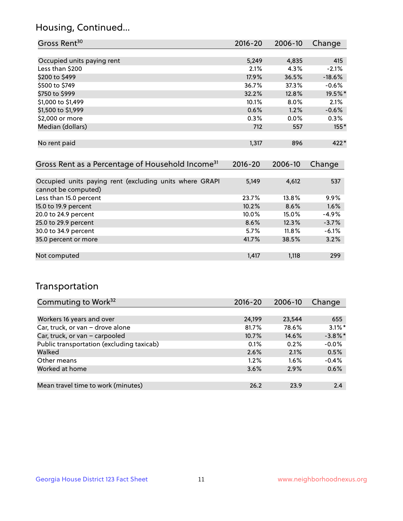## Housing, Continued...

| Gross Rent <sup>30</sup>   | 2016-20 | 2006-10 | Change   |
|----------------------------|---------|---------|----------|
|                            |         |         |          |
| Occupied units paying rent | 5,249   | 4,835   | 415      |
| Less than \$200            | 2.1%    | 4.3%    | $-2.1%$  |
| \$200 to \$499             | 17.9%   | 36.5%   | $-18.6%$ |
| \$500 to \$749             | 36.7%   | 37.3%   | $-0.6%$  |
| \$750 to \$999             | 32.2%   | 12.8%   | 19.5%*   |
| \$1,000 to \$1,499         | 10.1%   | 8.0%    | 2.1%     |
| \$1,500 to \$1,999         | 0.6%    | 1.2%    | $-0.6%$  |
| \$2,000 or more            | 0.3%    | 0.0%    | 0.3%     |
| Median (dollars)           | 712     | 557     | $155*$   |
|                            |         |         |          |
| No rent paid               | 1,317   | 896     | $422*$   |
|                            |         |         |          |

| Gross Rent as a Percentage of Household Income <sup>31</sup>                   | $2016 - 20$ | 2006-10  | Change  |
|--------------------------------------------------------------------------------|-------------|----------|---------|
|                                                                                |             |          |         |
| Occupied units paying rent (excluding units where GRAPI<br>cannot be computed) | 5,149       | 4,612    | 537     |
| Less than 15.0 percent                                                         | 23.7%       | 13.8%    | $9.9\%$ |
| 15.0 to 19.9 percent                                                           | 10.2%       | 8.6%     | 1.6%    |
| 20.0 to 24.9 percent                                                           | $10.0\%$    | 15.0%    | $-4.9%$ |
| 25.0 to 29.9 percent                                                           | 8.6%        | 12.3%    | $-3.7%$ |
| 30.0 to 34.9 percent                                                           | 5.7%        | $11.8\%$ | $-6.1%$ |
| 35.0 percent or more                                                           | 41.7%       | 38.5%    | 3.2%    |
|                                                                                |             |          |         |
| Not computed                                                                   | 1,417       | 1,118    | 299     |

## Transportation

| Commuting to Work <sup>32</sup>           | 2016-20 | 2006-10 | Change     |
|-------------------------------------------|---------|---------|------------|
|                                           |         |         |            |
| Workers 16 years and over                 | 24,199  | 23,544  | 655        |
| Car, truck, or van - drove alone          | 81.7%   | 78.6%   | $3.1\%$ *  |
| Car, truck, or van - carpooled            | 10.7%   | 14.6%   | $-3.8\%$ * |
| Public transportation (excluding taxicab) | 0.1%    | 0.2%    | $-0.0%$    |
| Walked                                    | 2.6%    | 2.1%    | 0.5%       |
| Other means                               | $1.2\%$ | $1.6\%$ | $-0.4%$    |
| Worked at home                            | 3.6%    | 2.9%    | 0.6%       |
|                                           |         |         |            |
| Mean travel time to work (minutes)        | 26.2    | 23.9    | 2.4        |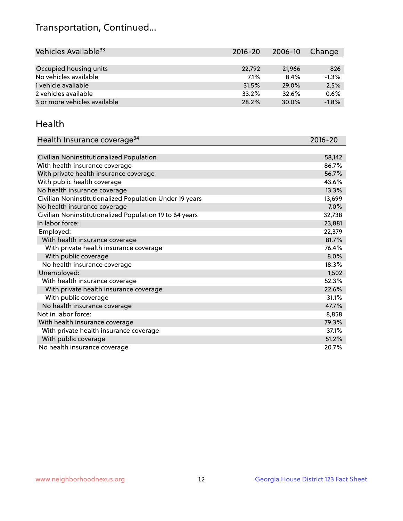## Transportation, Continued...

| Vehicles Available <sup>33</sup> | 2016-20 | 2006-10 | Change  |
|----------------------------------|---------|---------|---------|
|                                  |         |         |         |
| Occupied housing units           | 22,792  | 21,966  | 826     |
| No vehicles available            | 7.1%    | 8.4%    | $-1.3%$ |
| 1 vehicle available              | 31.5%   | 29.0%   | 2.5%    |
| 2 vehicles available             | 33.2%   | 32.6%   | 0.6%    |
| 3 or more vehicles available     | 28.2%   | 30.0%   | $-1.8%$ |

#### Health

| Health Insurance coverage <sup>34</sup>                 | 2016-20 |
|---------------------------------------------------------|---------|
|                                                         |         |
| Civilian Noninstitutionalized Population                | 58,142  |
| With health insurance coverage                          | 86.7%   |
| With private health insurance coverage                  | 56.7%   |
| With public health coverage                             | 43.6%   |
| No health insurance coverage                            | 13.3%   |
| Civilian Noninstitutionalized Population Under 19 years | 13,699  |
| No health insurance coverage                            | 7.0%    |
| Civilian Noninstitutionalized Population 19 to 64 years | 32,738  |
| In labor force:                                         | 23,881  |
| Employed:                                               | 22,379  |
| With health insurance coverage                          | 81.7%   |
| With private health insurance coverage                  | 76.4%   |
| With public coverage                                    | 8.0%    |
| No health insurance coverage                            | 18.3%   |
| Unemployed:                                             | 1,502   |
| With health insurance coverage                          | 52.3%   |
| With private health insurance coverage                  | 22.6%   |
| With public coverage                                    | 31.1%   |
| No health insurance coverage                            | 47.7%   |
| Not in labor force:                                     | 8,858   |
| With health insurance coverage                          | 79.3%   |
| With private health insurance coverage                  | 37.1%   |
| With public coverage                                    | 51.2%   |
| No health insurance coverage                            | 20.7%   |